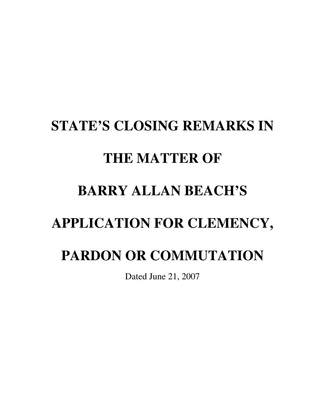## **STATE'S CLOSING REMARKS IN THE MATTER OF BARRY ALLAN BEACH'S APPLICATION FOR CLEMENCY, PARDON OR COMMUTATION**

Dated June 21, 2007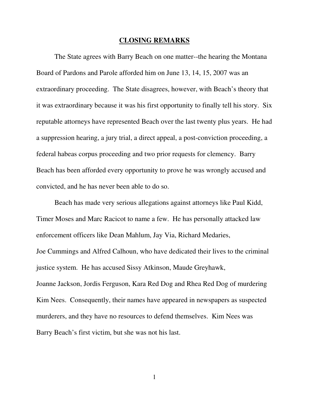## **CLOSING REMARKS**

The State agrees with Barry Beach on one matter--the hearing the Montana Board of Pardons and Parole afforded him on June 13, 14, 15, 2007 was an extraordinary proceeding. The State disagrees, however, with Beach's theory that it was extraordinary because it was his first opportunity to finally tell his story. Six reputable attorneys have represented Beach over the last twenty plus years. He had a suppression hearing, a jury trial, a direct appeal, a post-conviction proceeding, a federal habeas corpus proceeding and two prior requests for clemency. Barry Beach has been afforded every opportunity to prove he was wrongly accused and convicted, and he has never been able to do so.

 Beach has made very serious allegations against attorneys like Paul Kidd, Timer Moses and Marc Racicot to name a few. He has personally attacked law enforcement officers like Dean Mahlum, Jay Via, Richard Medaries, Joe Cummings and Alfred Calhoun, who have dedicated their lives to the criminal justice system. He has accused Sissy Atkinson, Maude Greyhawk, Joanne Jackson, Jordis Ferguson, Kara Red Dog and Rhea Red Dog of murdering Kim Nees. Consequently, their names have appeared in newspapers as suspected murderers, and they have no resources to defend themselves. Kim Nees was Barry Beach's first victim, but she was not his last.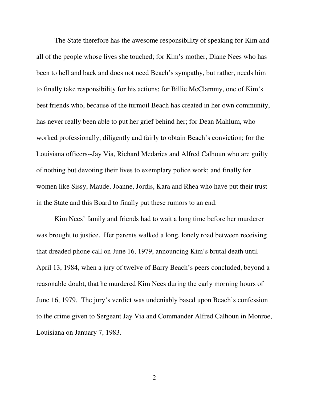The State therefore has the awesome responsibility of speaking for Kim and all of the people whose lives she touched; for Kim's mother, Diane Nees who has been to hell and back and does not need Beach's sympathy, but rather, needs him to finally take responsibility for his actions; for Billie McClammy, one of Kim's best friends who, because of the turmoil Beach has created in her own community, has never really been able to put her grief behind her; for Dean Mahlum, who worked professionally, diligently and fairly to obtain Beach's conviction; for the Louisiana officers--Jay Via, Richard Medaries and Alfred Calhoun who are guilty of nothing but devoting their lives to exemplary police work; and finally for women like Sissy, Maude, Joanne, Jordis, Kara and Rhea who have put their trust in the State and this Board to finally put these rumors to an end.

Kim Nees' family and friends had to wait a long time before her murderer was brought to justice. Her parents walked a long, lonely road between receiving that dreaded phone call on June 16, 1979, announcing Kim's brutal death until April 13, 1984, when a jury of twelve of Barry Beach's peers concluded, beyond a reasonable doubt, that he murdered Kim Nees during the early morning hours of June 16, 1979. The jury's verdict was undeniably based upon Beach's confession to the crime given to Sergeant Jay Via and Commander Alfred Calhoun in Monroe, Louisiana on January 7, 1983.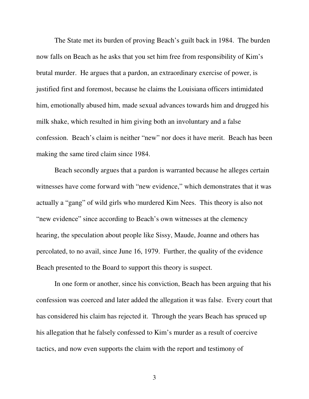The State met its burden of proving Beach's guilt back in 1984. The burden now falls on Beach as he asks that you set him free from responsibility of Kim's brutal murder. He argues that a pardon, an extraordinary exercise of power, is justified first and foremost, because he claims the Louisiana officers intimidated him, emotionally abused him, made sexual advances towards him and drugged his milk shake, which resulted in him giving both an involuntary and a false confession. Beach's claim is neither "new" nor does it have merit. Beach has been making the same tired claim since 1984.

Beach secondly argues that a pardon is warranted because he alleges certain witnesses have come forward with "new evidence," which demonstrates that it was actually a "gang" of wild girls who murdered Kim Nees. This theory is also not "new evidence" since according to Beach's own witnesses at the clemency hearing, the speculation about people like Sissy, Maude, Joanne and others has percolated, to no avail, since June 16, 1979. Further, the quality of the evidence Beach presented to the Board to support this theory is suspect.

 In one form or another, since his conviction, Beach has been arguing that his confession was coerced and later added the allegation it was false. Every court that has considered his claim has rejected it. Through the years Beach has spruced up his allegation that he falsely confessed to Kim's murder as a result of coercive tactics, and now even supports the claim with the report and testimony of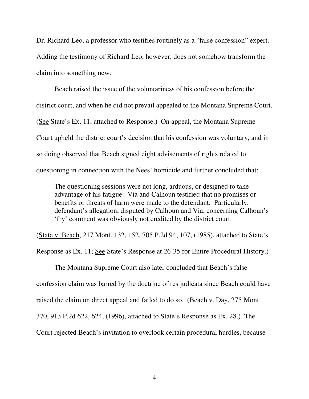Dr. Richard Leo, a professor who testifies routinely as a "false confession" expert. Adding the testimony of Richard Leo, however, does not somehow transform the claim into something new.

 Beach raised the issue of the voluntariness of his confession before the district court, and when he did not prevail appealed to the Montana Supreme Court. (See State's Ex. 11, attached to Response.) On appeal, the Montana Supreme Court upheld the district court's decision that his confession was voluntary, and in so doing observed that Beach signed eight advisements of rights related to questioning in connection with the Nees' homicide and further concluded that:

The questioning sessions were not long, arduous, or designed to take advantage of his fatigue. Via and Calhoun testified that no promises or benefits or threats of harm were made to the defendant. Particularly, defendant's allegation, disputed by Calhoun and Via, concerning Calhoun's 'fry' comment was obviously not credited by the district court.

(State v. Beach, 217 Mont. 132, 152, 705 P.2d 94, 107, (1985), attached to State's

Response as Ex. 11; See State's Response at 26-35 for Entire Procedural History.)

 The Montana Supreme Court also later concluded that Beach's false confession claim was barred by the doctrine of res judicata since Beach could have raised the claim on direct appeal and failed to do so. (Beach v. Day, 275 Mont. 370, 913 P.2d 622, 624, (1996), attached to State's Response as Ex. 28.) The Court rejected Beach's invitation to overlook certain procedural hurdles, because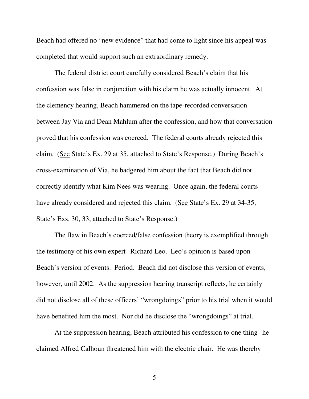Beach had offered no "new evidence" that had come to light since his appeal was completed that would support such an extraordinary remedy.

 The federal district court carefully considered Beach's claim that his confession was false in conjunction with his claim he was actually innocent. At the clemency hearing, Beach hammered on the tape-recorded conversation between Jay Via and Dean Mahlum after the confession, and how that conversation proved that his confession was coerced. The federal courts already rejected this claim. (See State's Ex. 29 at 35, attached to State's Response.) During Beach's cross-examination of Via, he badgered him about the fact that Beach did not correctly identify what Kim Nees was wearing. Once again, the federal courts have already considered and rejected this claim. (See State's Ex. 29 at 34-35, State's Exs. 30, 33, attached to State's Response.)

The flaw in Beach's coerced/false confession theory is exemplified through the testimony of his own expert--Richard Leo. Leo's opinion is based upon Beach's version of events. Period. Beach did not disclose this version of events, however, until 2002. As the suppression hearing transcript reflects, he certainly did not disclose all of these officers' "wrongdoings" prior to his trial when it would have benefited him the most. Nor did he disclose the "wrongdoings" at trial.

At the suppression hearing, Beach attributed his confession to one thing--he claimed Alfred Calhoun threatened him with the electric chair. He was thereby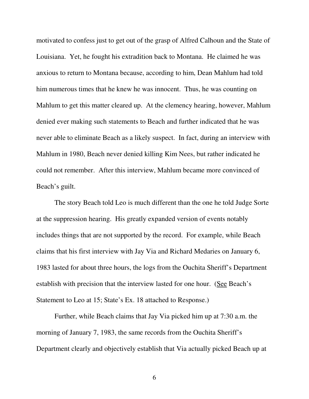motivated to confess just to get out of the grasp of Alfred Calhoun and the State of Louisiana. Yet, he fought his extradition back to Montana. He claimed he was anxious to return to Montana because, according to him, Dean Mahlum had told him numerous times that he knew he was innocent. Thus, he was counting on Mahlum to get this matter cleared up. At the clemency hearing, however, Mahlum denied ever making such statements to Beach and further indicated that he was never able to eliminate Beach as a likely suspect. In fact, during an interview with Mahlum in 1980, Beach never denied killing Kim Nees, but rather indicated he could not remember. After this interview, Mahlum became more convinced of Beach's guilt.

 The story Beach told Leo is much different than the one he told Judge Sorte at the suppression hearing. His greatly expanded version of events notably includes things that are not supported by the record. For example, while Beach claims that his first interview with Jay Via and Richard Medaries on January 6, 1983 lasted for about three hours, the logs from the Ouchita Sheriff's Department establish with precision that the interview lasted for one hour. (See Beach's Statement to Leo at 15; State's Ex. 18 attached to Response.)

Further, while Beach claims that Jay Via picked him up at 7:30 a.m. the morning of January 7, 1983, the same records from the Ouchita Sheriff's Department clearly and objectively establish that Via actually picked Beach up at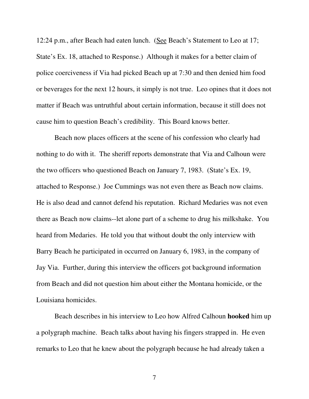12:24 p.m., after Beach had eaten lunch. (See Beach's Statement to Leo at 17; State's Ex. 18, attached to Response.) Although it makes for a better claim of police coerciveness if Via had picked Beach up at 7:30 and then denied him food or beverages for the next 12 hours, it simply is not true. Leo opines that it does not matter if Beach was untruthful about certain information, because it still does not cause him to question Beach's credibility. This Board knows better.

 Beach now places officers at the scene of his confession who clearly had nothing to do with it. The sheriff reports demonstrate that Via and Calhoun were the two officers who questioned Beach on January 7, 1983. (State's Ex. 19, attached to Response.) Joe Cummings was not even there as Beach now claims. He is also dead and cannot defend his reputation. Richard Medaries was not even there as Beach now claims--let alone part of a scheme to drug his milkshake. You heard from Medaries. He told you that without doubt the only interview with Barry Beach he participated in occurred on January 6, 1983, in the company of Jay Via. Further, during this interview the officers got background information from Beach and did not question him about either the Montana homicide, or the Louisiana homicides.

 Beach describes in his interview to Leo how Alfred Calhoun **hooked** him up a polygraph machine. Beach talks about having his fingers strapped in. He even remarks to Leo that he knew about the polygraph because he had already taken a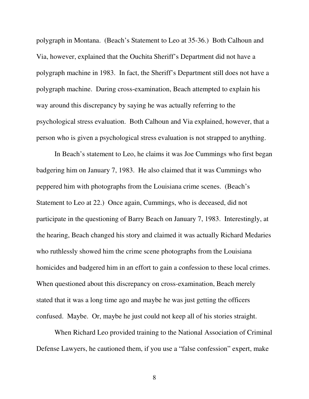polygraph in Montana. (Beach's Statement to Leo at 35-36.) Both Calhoun and Via, however, explained that the Ouchita Sheriff's Department did not have a polygraph machine in 1983. In fact, the Sheriff's Department still does not have a polygraph machine. During cross-examination, Beach attempted to explain his way around this discrepancy by saying he was actually referring to the psychological stress evaluation. Both Calhoun and Via explained, however, that a person who is given a psychological stress evaluation is not strapped to anything.

In Beach's statement to Leo, he claims it was Joe Cummings who first began badgering him on January 7, 1983. He also claimed that it was Cummings who peppered him with photographs from the Louisiana crime scenes. (Beach's Statement to Leo at 22.) Once again, Cummings, who is deceased, did not participate in the questioning of Barry Beach on January 7, 1983. Interestingly, at the hearing, Beach changed his story and claimed it was actually Richard Medaries who ruthlessly showed him the crime scene photographs from the Louisiana homicides and badgered him in an effort to gain a confession to these local crimes. When questioned about this discrepancy on cross-examination, Beach merely stated that it was a long time ago and maybe he was just getting the officers confused. Maybe. Or, maybe he just could not keep all of his stories straight.

 When Richard Leo provided training to the National Association of Criminal Defense Lawyers, he cautioned them, if you use a "false confession" expert, make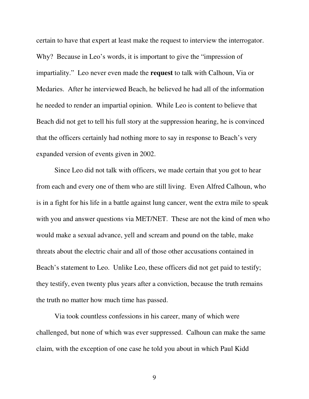certain to have that expert at least make the request to interview the interrogator. Why? Because in Leo's words, it is important to give the "impression of impartiality." Leo never even made the **request** to talk with Calhoun, Via or Medaries. After he interviewed Beach, he believed he had all of the information he needed to render an impartial opinion. While Leo is content to believe that Beach did not get to tell his full story at the suppression hearing, he is convinced that the officers certainly had nothing more to say in response to Beach's very expanded version of events given in 2002.

Since Leo did not talk with officers, we made certain that you got to hear from each and every one of them who are still living. Even Alfred Calhoun, who is in a fight for his life in a battle against lung cancer, went the extra mile to speak with you and answer questions via MET/NET. These are not the kind of men who would make a sexual advance, yell and scream and pound on the table, make threats about the electric chair and all of those other accusations contained in Beach's statement to Leo. Unlike Leo, these officers did not get paid to testify; they testify, even twenty plus years after a conviction, because the truth remains the truth no matter how much time has passed.

Via took countless confessions in his career, many of which were challenged, but none of which was ever suppressed. Calhoun can make the same claim, with the exception of one case he told you about in which Paul Kidd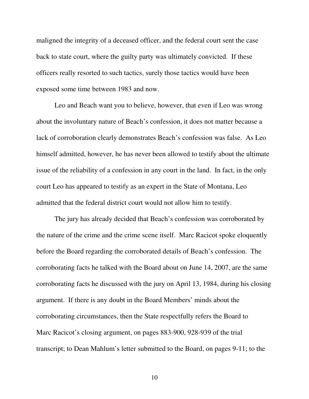maligned the integrity of a deceased officer, and the federal court sent the case back to state court, where the guilty party was ultimately convicted. If these officers really resorted to such tactics, surely those tactics would have been exposed some time between 1983 and now.

 Leo and Beach want you to believe, however, that even if Leo was wrong about the involuntary nature of Beach's confession, it does not matter because a lack of corroboration clearly demonstrates Beach's confession was false. As Leo himself admitted, however, he has never been allowed to testify about the ultimate issue of the reliability of a confession in any court in the land. In fact, in the only court Leo has appeared to testify as an expert in the State of Montana, Leo admitted that the federal district court would not allow him to testify.

The jury has already decided that Beach's confession was corroborated by the nature of the crime and the crime scene itself. Marc Racicot spoke eloquently before the Board regarding the corroborated details of Beach's confession. The corroborating facts he talked with the Board about on June 14, 2007, are the same corroborating facts he discussed with the jury on April 13, 1984, during his closing argument. If there is any doubt in the Board Members' minds about the corroborating circumstances, then the State respectfully refers the Board to Marc Racicot's closing argument, on pages 883-900, 928-939 of the trial transcript; to Dean Mahlum's letter submitted to the Board, on pages 9-11; to the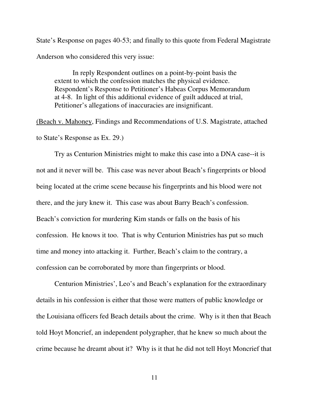State's Response on pages 40-53; and finally to this quote from Federal Magistrate Anderson who considered this very issue:

In reply Respondent outlines on a point-by-point basis the extent to which the confession matches the physical evidence. Respondent's Response to Petitioner's Habeas Corpus Memorandum at 4-8. In light of this additional evidence of guilt adduced at trial, Petitioner's allegations of inaccuracies are insignificant.

(Beach v. Mahoney, Findings and Recommendations of U.S. Magistrate, attached to State's Response as Ex. 29.)

 Try as Centurion Ministries might to make this case into a DNA case--it is not and it never will be. This case was never about Beach's fingerprints or blood being located at the crime scene because his fingerprints and his blood were not there, and the jury knew it. This case was about Barry Beach's confession. Beach's conviction for murdering Kim stands or falls on the basis of his confession. He knows it too. That is why Centurion Ministries has put so much time and money into attacking it. Further, Beach's claim to the contrary, a confession can be corroborated by more than fingerprints or blood.

 Centurion Ministries', Leo's and Beach's explanation for the extraordinary details in his confession is either that those were matters of public knowledge or the Louisiana officers fed Beach details about the crime. Why is it then that Beach told Hoyt Moncrief, an independent polygrapher, that he knew so much about the crime because he dreamt about it? Why is it that he did not tell Hoyt Moncrief that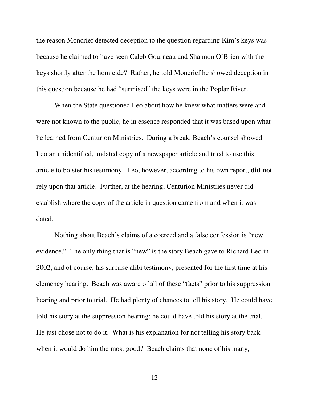the reason Moncrief detected deception to the question regarding Kim's keys was because he claimed to have seen Caleb Gourneau and Shannon O'Brien with the keys shortly after the homicide? Rather, he told Moncrief he showed deception in this question because he had "surmised" the keys were in the Poplar River.

When the State questioned Leo about how he knew what matters were and were not known to the public, he in essence responded that it was based upon what he learned from Centurion Ministries. During a break, Beach's counsel showed Leo an unidentified, undated copy of a newspaper article and tried to use this article to bolster his testimony. Leo, however, according to his own report, **did not** rely upon that article. Further, at the hearing, Centurion Ministries never did establish where the copy of the article in question came from and when it was dated.

Nothing about Beach's claims of a coerced and a false confession is "new evidence." The only thing that is "new" is the story Beach gave to Richard Leo in 2002, and of course, his surprise alibi testimony, presented for the first time at his clemency hearing. Beach was aware of all of these "facts" prior to his suppression hearing and prior to trial. He had plenty of chances to tell his story. He could have told his story at the suppression hearing; he could have told his story at the trial. He just chose not to do it. What is his explanation for not telling his story back when it would do him the most good? Beach claims that none of his many,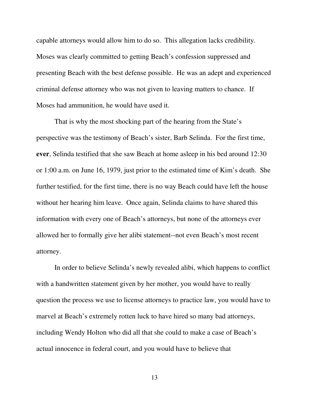capable attorneys would allow him to do so. This allegation lacks credibility. Moses was clearly committed to getting Beach's confession suppressed and presenting Beach with the best defense possible. He was an adept and experienced criminal defense attorney who was not given to leaving matters to chance. If Moses had ammunition, he would have used it.

That is why the most shocking part of the hearing from the State's perspective was the testimony of Beach's sister, Barb Selinda. For the first time, **ever**, Selinda testified that she saw Beach at home asleep in his bed around 12:30 or 1:00 a.m. on June 16, 1979, just prior to the estimated time of Kim's death. She further testified, for the first time, there is no way Beach could have left the house without her hearing him leave. Once again, Selinda claims to have shared this information with every one of Beach's attorneys, but none of the attorneys ever allowed her to formally give her alibi statement--not even Beach's most recent attorney.

In order to believe Selinda's newly revealed alibi, which happens to conflict with a handwritten statement given by her mother, you would have to really question the process we use to license attorneys to practice law, you would have to marvel at Beach's extremely rotten luck to have hired so many bad attorneys, including Wendy Holton who did all that she could to make a case of Beach's actual innocence in federal court, and you would have to believe that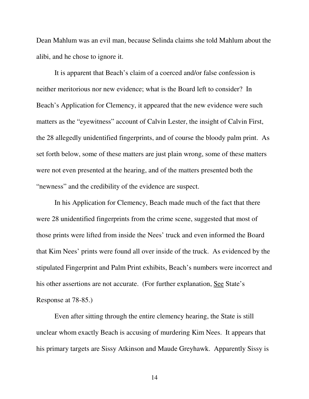Dean Mahlum was an evil man, because Selinda claims she told Mahlum about the alibi, and he chose to ignore it.

 It is apparent that Beach's claim of a coerced and/or false confession is neither meritorious nor new evidence; what is the Board left to consider? In Beach's Application for Clemency, it appeared that the new evidence were such matters as the "eyewitness" account of Calvin Lester, the insight of Calvin First, the 28 allegedly unidentified fingerprints, and of course the bloody palm print. As set forth below, some of these matters are just plain wrong, some of these matters were not even presented at the hearing, and of the matters presented both the "newness" and the credibility of the evidence are suspect.

 In his Application for Clemency, Beach made much of the fact that there were 28 unidentified fingerprints from the crime scene, suggested that most of those prints were lifted from inside the Nees' truck and even informed the Board that Kim Nees' prints were found all over inside of the truck. As evidenced by the stipulated Fingerprint and Palm Print exhibits, Beach's numbers were incorrect and his other assertions are not accurate. (For further explanation, See State's Response at 78-85.)

 Even after sitting through the entire clemency hearing, the State is still unclear whom exactly Beach is accusing of murdering Kim Nees. It appears that his primary targets are Sissy Atkinson and Maude Greyhawk. Apparently Sissy is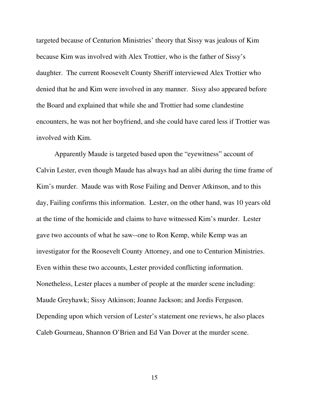targeted because of Centurion Ministries' theory that Sissy was jealous of Kim because Kim was involved with Alex Trottier, who is the father of Sissy's daughter. The current Roosevelt County Sheriff interviewed Alex Trottier who denied that he and Kim were involved in any manner. Sissy also appeared before the Board and explained that while she and Trottier had some clandestine encounters, he was not her boyfriend, and she could have cared less if Trottier was involved with Kim.

 Apparently Maude is targeted based upon the "eyewitness" account of Calvin Lester, even though Maude has always had an alibi during the time frame of Kim's murder. Maude was with Rose Failing and Denver Atkinson, and to this day, Failing confirms this information. Lester, on the other hand, was 10 years old at the time of the homicide and claims to have witnessed Kim's murder. Lester gave two accounts of what he saw--one to Ron Kemp, while Kemp was an investigator for the Roosevelt County Attorney, and one to Centurion Ministries. Even within these two accounts, Lester provided conflicting information. Nonetheless, Lester places a number of people at the murder scene including: Maude Greyhawk; Sissy Atkinson; Joanne Jackson; and Jordis Ferguson. Depending upon which version of Lester's statement one reviews, he also places Caleb Gourneau, Shannon O'Brien and Ed Van Dover at the murder scene.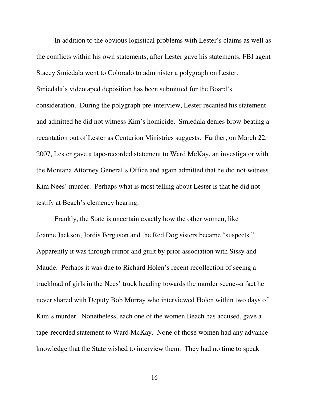In addition to the obvious logistical problems with Lester's claims as well as the conflicts within his own statements, after Lester gave his statements, FBI agent Stacey Smiedala went to Colorado to administer a polygraph on Lester. Smiedala's videotaped deposition has been submitted for the Board's consideration. During the polygraph pre-interview, Lester recanted his statement and admitted he did not witness Kim's homicide. Smiedala denies brow-beating a recantation out of Lester as Centurion Ministries suggests. Further, on March 22, 2007, Lester gave a tape-recorded statement to Ward McKay, an investigator with the Montana Attorney General's Office and again admitted that he did not witness Kim Nees' murder. Perhaps what is most telling about Lester is that he did not testify at Beach's clemency hearing.

 Frankly, the State is uncertain exactly how the other women, like Joanne Jackson, Jordis Ferguson and the Red Dog sisters became "suspects." Apparently it was through rumor and guilt by prior association with Sissy and Maude. Perhaps it was due to Richard Holen's recent recollection of seeing a truckload of girls in the Nees' truck heading towards the murder scene--a fact he never shared with Deputy Bob Murray who interviewed Holen within two days of Kim's murder. Nonetheless, each one of the women Beach has accused, gave a tape-recorded statement to Ward McKay. None of those women had any advance knowledge that the State wished to interview them. They had no time to speak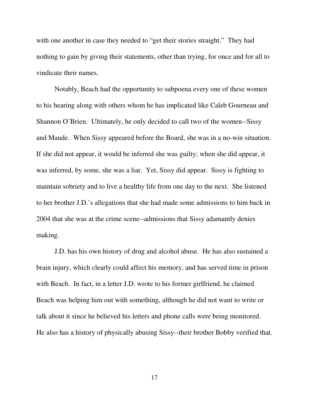with one another in case they needed to "get their stories straight." They had nothing to gain by giving their statements, other than trying, for once and for all to vindicate their names.

 Notably, Beach had the opportunity to subpoena every one of these women to his hearing along with others whom he has implicated like Caleb Gourneau and Shannon O'Brien. Ultimately, he only decided to call two of the women--Sissy and Maude. When Sissy appeared before the Board, she was in a no-win situation. If she did not appear, it would be inferred she was guilty; when she did appear, it was inferred, by some, she was a liar. Yet, Sissy did appear. Sissy is fighting to maintain sobriety and to live a healthy life from one day to the next. She listened to her brother J.D.'s allegations that she had made some admissions to him back in 2004 that she was at the crime scene--admissions that Sissy adamantly denies making.

 J.D. has his own history of drug and alcohol abuse. He has also sustained a brain injury, which clearly could affect his memory, and has served time in prison with Beach. In fact, in a letter J.D. wrote to his former girlfriend, he claimed Beach was helping him out with something, although he did not want to write or talk about it since he believed his letters and phone calls were being monitored. He also has a history of physically abusing Sissy--their brother Bobby verified that.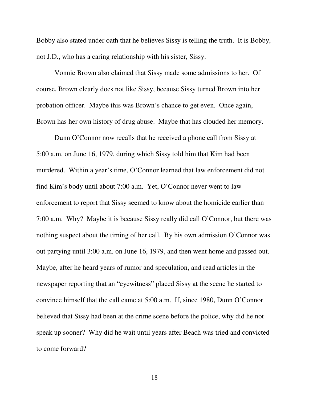Bobby also stated under oath that he believes Sissy is telling the truth. It is Bobby, not J.D., who has a caring relationship with his sister, Sissy.

 Vonnie Brown also claimed that Sissy made some admissions to her. Of course, Brown clearly does not like Sissy, because Sissy turned Brown into her probation officer. Maybe this was Brown's chance to get even. Once again, Brown has her own history of drug abuse. Maybe that has clouded her memory.

Dunn O'Connor now recalls that he received a phone call from Sissy at 5:00 a.m. on June 16, 1979, during which Sissy told him that Kim had been murdered. Within a year's time, O'Connor learned that law enforcement did not find Kim's body until about 7:00 a.m. Yet, O'Connor never went to law enforcement to report that Sissy seemed to know about the homicide earlier than 7:00 a.m. Why? Maybe it is because Sissy really did call O'Connor, but there was nothing suspect about the timing of her call. By his own admission O'Connor was out partying until 3:00 a.m. on June 16, 1979, and then went home and passed out. Maybe, after he heard years of rumor and speculation, and read articles in the newspaper reporting that an "eyewitness" placed Sissy at the scene he started to convince himself that the call came at 5:00 a.m. If, since 1980, Dunn O'Connor believed that Sissy had been at the crime scene before the police, why did he not speak up sooner? Why did he wait until years after Beach was tried and convicted to come forward?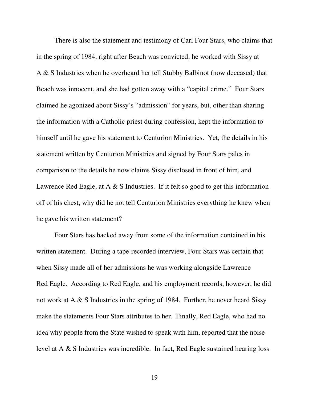There is also the statement and testimony of Carl Four Stars, who claims that in the spring of 1984, right after Beach was convicted, he worked with Sissy at A & S Industries when he overheard her tell Stubby Balbinot (now deceased) that Beach was innocent, and she had gotten away with a "capital crime." Four Stars claimed he agonized about Sissy's "admission" for years, but, other than sharing the information with a Catholic priest during confession, kept the information to himself until he gave his statement to Centurion Ministries. Yet, the details in his statement written by Centurion Ministries and signed by Four Stars pales in comparison to the details he now claims Sissy disclosed in front of him, and Lawrence Red Eagle, at A  $\&$  S Industries. If it felt so good to get this information off of his chest, why did he not tell Centurion Ministries everything he knew when he gave his written statement?

 Four Stars has backed away from some of the information contained in his written statement. During a tape-recorded interview, Four Stars was certain that when Sissy made all of her admissions he was working alongside Lawrence Red Eagle. According to Red Eagle, and his employment records, however, he did not work at A & S Industries in the spring of 1984. Further, he never heard Sissy make the statements Four Stars attributes to her. Finally, Red Eagle, who had no idea why people from the State wished to speak with him, reported that the noise level at A & S Industries was incredible. In fact, Red Eagle sustained hearing loss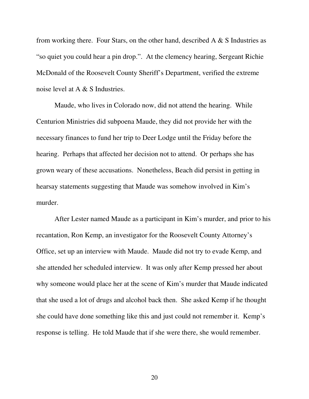from working there. Four Stars, on the other hand, described  $A \& S$  Industries as "so quiet you could hear a pin drop.". At the clemency hearing, Sergeant Richie McDonald of the Roosevelt County Sheriff's Department, verified the extreme noise level at A & S Industries.

 Maude, who lives in Colorado now, did not attend the hearing. While Centurion Ministries did subpoena Maude, they did not provide her with the necessary finances to fund her trip to Deer Lodge until the Friday before the hearing. Perhaps that affected her decision not to attend. Or perhaps she has grown weary of these accusations. Nonetheless, Beach did persist in getting in hearsay statements suggesting that Maude was somehow involved in Kim's murder.

 After Lester named Maude as a participant in Kim's murder, and prior to his recantation, Ron Kemp, an investigator for the Roosevelt County Attorney's Office, set up an interview with Maude. Maude did not try to evade Kemp, and she attended her scheduled interview. It was only after Kemp pressed her about why someone would place her at the scene of Kim's murder that Maude indicated that she used a lot of drugs and alcohol back then. She asked Kemp if he thought she could have done something like this and just could not remember it. Kemp's response is telling. He told Maude that if she were there, she would remember.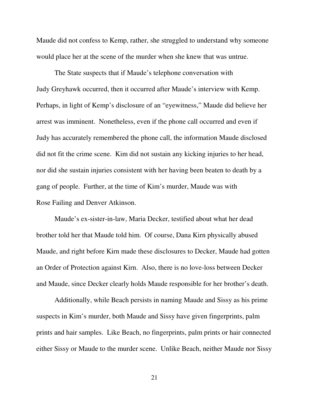Maude did not confess to Kemp, rather, she struggled to understand why someone would place her at the scene of the murder when she knew that was untrue.

The State suspects that if Maude's telephone conversation with Judy Greyhawk occurred, then it occurred after Maude's interview with Kemp. Perhaps, in light of Kemp's disclosure of an "eyewitness," Maude did believe her arrest was imminent. Nonetheless, even if the phone call occurred and even if Judy has accurately remembered the phone call, the information Maude disclosed did not fit the crime scene. Kim did not sustain any kicking injuries to her head, nor did she sustain injuries consistent with her having been beaten to death by a gang of people. Further, at the time of Kim's murder, Maude was with Rose Failing and Denver Atkinson.

 Maude's ex-sister-in-law, Maria Decker, testified about what her dead brother told her that Maude told him. Of course, Dana Kirn physically abused Maude, and right before Kirn made these disclosures to Decker, Maude had gotten an Order of Protection against Kirn. Also, there is no love-loss between Decker and Maude, since Decker clearly holds Maude responsible for her brother's death.

 Additionally, while Beach persists in naming Maude and Sissy as his prime suspects in Kim's murder, both Maude and Sissy have given fingerprints, palm prints and hair samples. Like Beach, no fingerprints, palm prints or hair connected either Sissy or Maude to the murder scene. Unlike Beach, neither Maude nor Sissy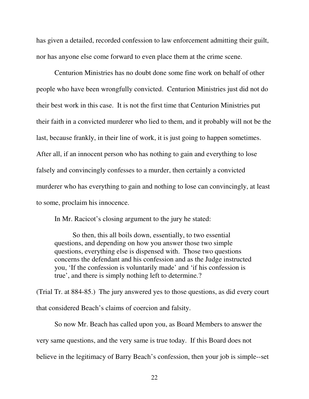has given a detailed, recorded confession to law enforcement admitting their guilt, nor has anyone else come forward to even place them at the crime scene.

Centurion Ministries has no doubt done some fine work on behalf of other people who have been wrongfully convicted. Centurion Ministries just did not do their best work in this case. It is not the first time that Centurion Ministries put their faith in a convicted murderer who lied to them, and it probably will not be the last, because frankly, in their line of work, it is just going to happen sometimes. After all, if an innocent person who has nothing to gain and everything to lose falsely and convincingly confesses to a murder, then certainly a convicted murderer who has everything to gain and nothing to lose can convincingly, at least to some, proclaim his innocence.

In Mr. Racicot's closing argument to the jury he stated:

So then, this all boils down, essentially, to two essential questions, and depending on how you answer those two simple questions, everything else is dispensed with. Those two questions concerns the defendant and his confession and as the Judge instructed you, 'If the confession is voluntarily made' and 'if his confession is true', and there is simply nothing left to determine.?

(Trial Tr. at 884-85.) The jury answered yes to those questions, as did every court that considered Beach's claims of coercion and falsity.

So now Mr. Beach has called upon you, as Board Members to answer the very same questions, and the very same is true today. If this Board does not believe in the legitimacy of Barry Beach's confession, then your job is simple--set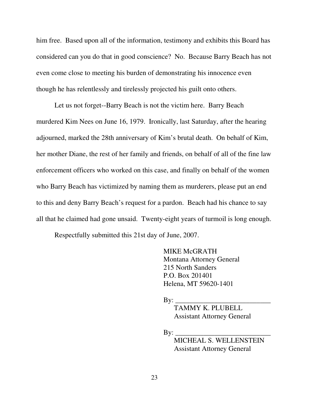him free. Based upon all of the information, testimony and exhibits this Board has considered can you do that in good conscience? No. Because Barry Beach has not even come close to meeting his burden of demonstrating his innocence even though he has relentlessly and tirelessly projected his guilt onto others.

 Let us not forget--Barry Beach is not the victim here. Barry Beach murdered Kim Nees on June 16, 1979. Ironically, last Saturday, after the hearing adjourned, marked the 28th anniversary of Kim's brutal death. On behalf of Kim, her mother Diane, the rest of her family and friends, on behalf of all of the fine law enforcement officers who worked on this case, and finally on behalf of the women who Barry Beach has victimized by naming them as murderers, please put an end to this and deny Barry Beach's request for a pardon. Beach had his chance to say all that he claimed had gone unsaid. Twenty-eight years of turmoil is long enough.

Respectfully submitted this 21st day of June, 2007.

MIKE McGRATH Montana Attorney General 215 North Sanders P.O. Box 201401 Helena, MT 59620-1401

 $\mathbf{B} \mathbf{v}$ :

 TAMMY K. PLUBELL Assistant Attorney General

 $\mathbf{B} \mathbf{v}$ :

 MICHEAL S. WELLENSTEIN Assistant Attorney General